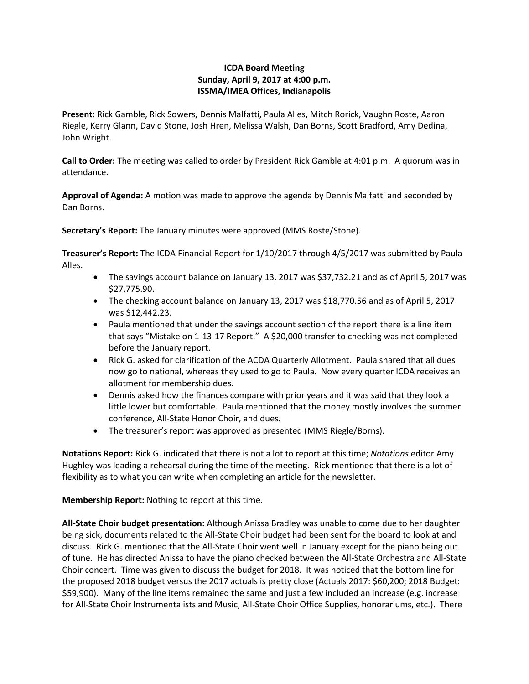## **ICDA Board Meeting Sunday, April 9, 2017 at 4:00 p.m. ISSMA/IMEA Offices, Indianapolis**

**Present:** Rick Gamble, Rick Sowers, Dennis Malfatti, Paula Alles, Mitch Rorick, Vaughn Roste, Aaron Riegle, Kerry Glann, David Stone, Josh Hren, Melissa Walsh, Dan Borns, Scott Bradford, Amy Dedina, John Wright.

**Call to Order:** The meeting was called to order by President Rick Gamble at 4:01 p.m. A quorum was in attendance.

**Approval of Agenda:** A motion was made to approve the agenda by Dennis Malfatti and seconded by Dan Borns.

**Secretary's Report:** The January minutes were approved (MMS Roste/Stone).

**Treasurer's Report:** The ICDA Financial Report for 1/10/2017 through 4/5/2017 was submitted by Paula Alles.

- The savings account balance on January 13, 2017 was \$37,732.21 and as of April 5, 2017 was \$27,775.90.
- The checking account balance on January 13, 2017 was \$18,770.56 and as of April 5, 2017 was \$12,442.23.
- Paula mentioned that under the savings account section of the report there is a line item that says "Mistake on 1-13-17 Report." A \$20,000 transfer to checking was not completed before the January report.
- Rick G. asked for clarification of the ACDA Quarterly Allotment. Paula shared that all dues now go to national, whereas they used to go to Paula. Now every quarter ICDA receives an allotment for membership dues.
- Dennis asked how the finances compare with prior years and it was said that they look a little lower but comfortable. Paula mentioned that the money mostly involves the summer conference, All-State Honor Choir, and dues.
- The treasurer's report was approved as presented (MMS Riegle/Borns).

**Notations Report:** Rick G. indicated that there is not a lot to report at this time; *Notations* editor Amy Hughley was leading a rehearsal during the time of the meeting. Rick mentioned that there is a lot of flexibility as to what you can write when completing an article for the newsletter.

**Membership Report:** Nothing to report at this time.

**All-State Choir budget presentation:** Although Anissa Bradley was unable to come due to her daughter being sick, documents related to the All-State Choir budget had been sent for the board to look at and discuss. Rick G. mentioned that the All-State Choir went well in January except for the piano being out of tune. He has directed Anissa to have the piano checked between the All-State Orchestra and All-State Choir concert. Time was given to discuss the budget for 2018. It was noticed that the bottom line for the proposed 2018 budget versus the 2017 actuals is pretty close (Actuals 2017: \$60,200; 2018 Budget: \$59,900). Many of the line items remained the same and just a few included an increase (e.g. increase for All-State Choir Instrumentalists and Music, All-State Choir Office Supplies, honorariums, etc.). There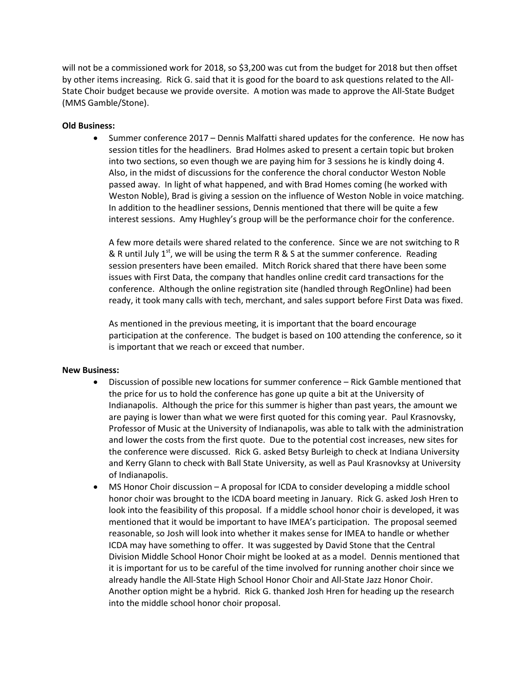will not be a commissioned work for 2018, so \$3,200 was cut from the budget for 2018 but then offset by other items increasing. Rick G. said that it is good for the board to ask questions related to the All-State Choir budget because we provide oversite. A motion was made to approve the All-State Budget (MMS Gamble/Stone).

## **Old Business:**

• Summer conference 2017 – Dennis Malfatti shared updates for the conference. He now has session titles for the headliners. Brad Holmes asked to present a certain topic but broken into two sections, so even though we are paying him for 3 sessions he is kindly doing 4. Also, in the midst of discussions for the conference the choral conductor Weston Noble passed away. In light of what happened, and with Brad Homes coming (he worked with Weston Noble), Brad is giving a session on the influence of Weston Noble in voice matching. In addition to the headliner sessions, Dennis mentioned that there will be quite a few interest sessions. Amy Hughley's group will be the performance choir for the conference.

A few more details were shared related to the conference. Since we are not switching to R & R until July 1<sup>st</sup>, we will be using the term R & S at the summer conference. Reading session presenters have been emailed. Mitch Rorick shared that there have been some issues with First Data, the company that handles online credit card transactions for the conference. Although the online registration site (handled through RegOnline) had been ready, it took many calls with tech, merchant, and sales support before First Data was fixed.

As mentioned in the previous meeting, it is important that the board encourage participation at the conference. The budget is based on 100 attending the conference, so it is important that we reach or exceed that number.

## **New Business:**

- Discussion of possible new locations for summer conference Rick Gamble mentioned that the price for us to hold the conference has gone up quite a bit at the University of Indianapolis. Although the price for this summer is higher than past years, the amount we are paying is lower than what we were first quoted for this coming year. Paul Krasnovsky, Professor of Music at the University of Indianapolis, was able to talk with the administration and lower the costs from the first quote. Due to the potential cost increases, new sites for the conference were discussed. Rick G. asked Betsy Burleigh to check at Indiana University and Kerry Glann to check with Ball State University, as well as Paul Krasnovksy at University of Indianapolis.
- MS Honor Choir discussion A proposal for ICDA to consider developing a middle school honor choir was brought to the ICDA board meeting in January. Rick G. asked Josh Hren to look into the feasibility of this proposal. If a middle school honor choir is developed, it was mentioned that it would be important to have IMEA's participation. The proposal seemed reasonable, so Josh will look into whether it makes sense for IMEA to handle or whether ICDA may have something to offer. It was suggested by David Stone that the Central Division Middle School Honor Choir might be looked at as a model. Dennis mentioned that it is important for us to be careful of the time involved for running another choir since we already handle the All-State High School Honor Choir and All-State Jazz Honor Choir. Another option might be a hybrid. Rick G. thanked Josh Hren for heading up the research into the middle school honor choir proposal.